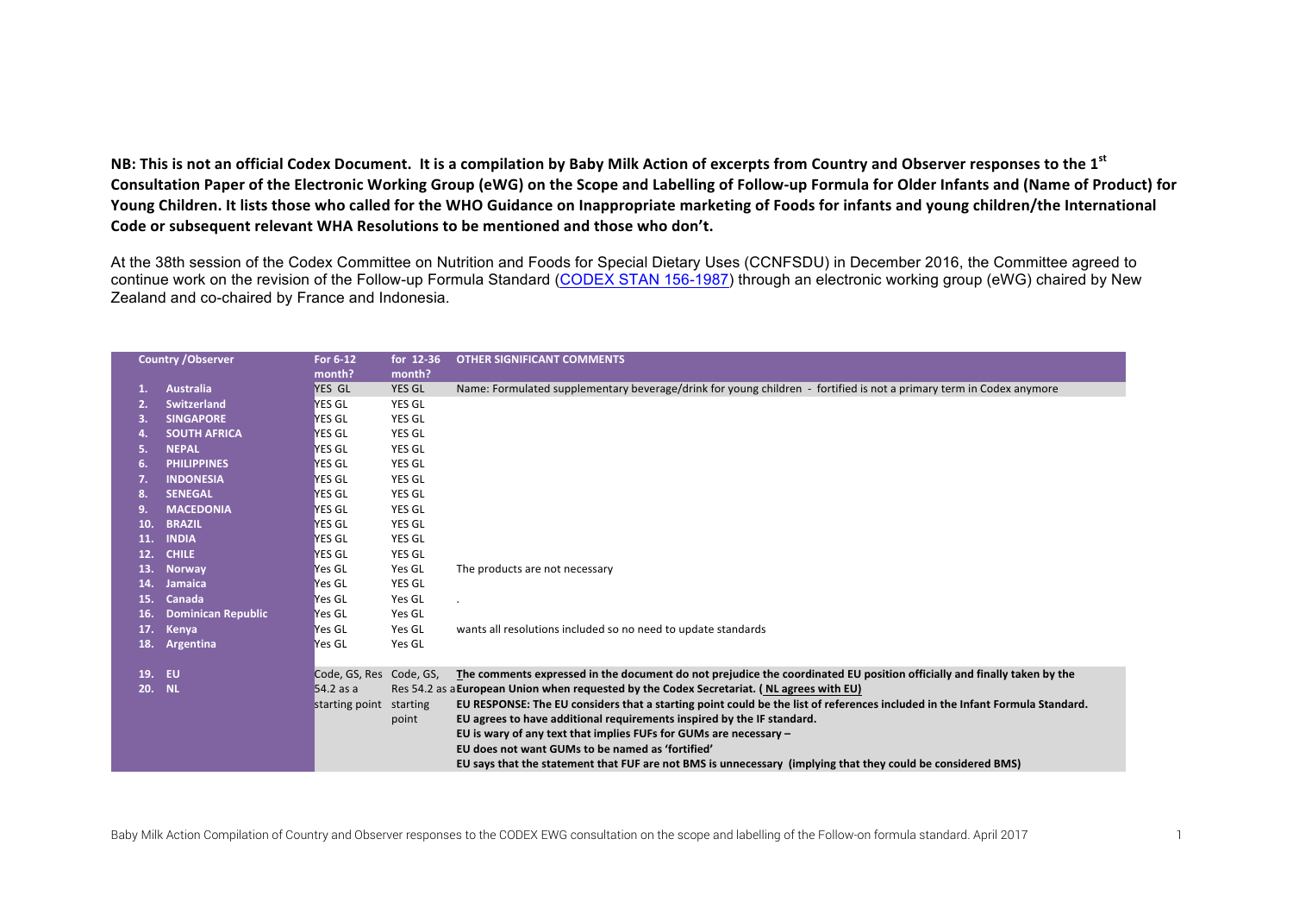**NB:** This is not an official Codex Document. It is a compilation by Baby Milk Action of excerpts from Country and Observer responses to the 1<sup>st</sup> Consultation Paper of the Electronic Working Group (eWG) on the Scope and Labelling of Follow-up Formula for Older Infants and (Name of Product) for Young Children. It lists those who called for the WHO Guidance on Inappropriate marketing of Foods for infants and young children/the International Code or subsequent relevant WHA Resolutions to be mentioned and those who don't.

At the 38th session of the Codex Committee on Nutrition and Foods for Special Dietary Uses (CCNFSDU) in December 2016, the Committee agreed to continue work on the revision of the Follow-up Formula Standard (CODEX STAN 156-1987) through an electronic working group (eWG) chaired by New Zealand and co-chaired by France and Indonesia.

| <b>Country / Observer</b> |                           | For 6-12<br>month?      | for 12-36<br>month? | <b>OTHER SIGNIFICANT COMMENTS</b>                                                                                            |
|---------------------------|---------------------------|-------------------------|---------------------|------------------------------------------------------------------------------------------------------------------------------|
|                           | <b>Australia</b>          | YES GL                  | <b>YES GL</b>       |                                                                                                                              |
| 1.                        |                           |                         |                     | Name: Formulated supplementary beverage/drink for young children - fortified is not a primary term in Codex anymore          |
|                           | <b>Switzerland</b>        | YES GL                  | YES GL              |                                                                                                                              |
| 3.                        | <b>SINGAPORE</b>          | YES GL                  | <b>YES GL</b>       |                                                                                                                              |
| 4.                        | <b>SOUTH AFRICA</b>       | YES GL                  | <b>YES GL</b>       |                                                                                                                              |
| 5.                        | <b>NEPAL</b>              | YES GL                  | <b>YES GL</b>       |                                                                                                                              |
| 6.                        | <b>PHILIPPINES</b>        | YES GL                  | <b>YES GL</b>       |                                                                                                                              |
|                           | <b>INDONESIA</b>          | YES GL                  | <b>YES GL</b>       |                                                                                                                              |
|                           | <b>SENEGAL</b>            | YES GL                  | <b>YES GL</b>       |                                                                                                                              |
| 9                         | <b>MACEDONIA</b>          | YES GL                  | <b>YES GL</b>       |                                                                                                                              |
| 10.                       | <b>BRAZIL</b>             | YES GL                  | <b>YES GL</b>       |                                                                                                                              |
| 11.                       | <b>INDIA</b>              | YES GL                  | <b>YES GL</b>       |                                                                                                                              |
| 12.                       | <b>CHILE</b>              | YES GL                  | YES GL              |                                                                                                                              |
| 13.                       | <b>Norway</b>             | Yes GL                  | Yes GL              | The products are not necessary                                                                                               |
| 14.                       | Jamaica                   | Yes GL                  | <b>YES GL</b>       |                                                                                                                              |
| 15.                       | Canada                    | Yes GL                  | Yes GL              |                                                                                                                              |
| 16.                       | <b>Dominican Republic</b> | Yes GL                  | Yes GL              |                                                                                                                              |
| 17.                       | Kenya                     | Yes GL                  | Yes GL              | wants all resolutions included so no need to update standards                                                                |
| 18.                       | Argentina                 | Yes GL                  | Yes GL              |                                                                                                                              |
| 19.                       | EU                        | Code, GS, Res Code, GS, |                     | The comments expressed in the document do not prejudice the coordinated EU position officially and finally taken by the      |
| 20. NL                    |                           | 54.2 as a               |                     | Res 54.2 as a European Union when requested by the Codex Secretariat. (NL agrees with EU)                                    |
|                           |                           | starting point          | starting            | EU RESPONSE: The EU considers that a starting point could be the list of references included in the Infant Formula Standard. |
|                           |                           |                         | point               | EU agrees to have additional requirements inspired by the IF standard.                                                       |
|                           |                           |                         |                     | EU is wary of any text that implies FUFs for GUMs are necessary -                                                            |
|                           |                           |                         |                     | EU does not want GUMs to be named as 'fortified'                                                                             |
|                           |                           |                         |                     | EU says that the statement that FUF are not BMS is unnecessary (implying that they could be considered BMS)                  |
|                           |                           |                         |                     |                                                                                                                              |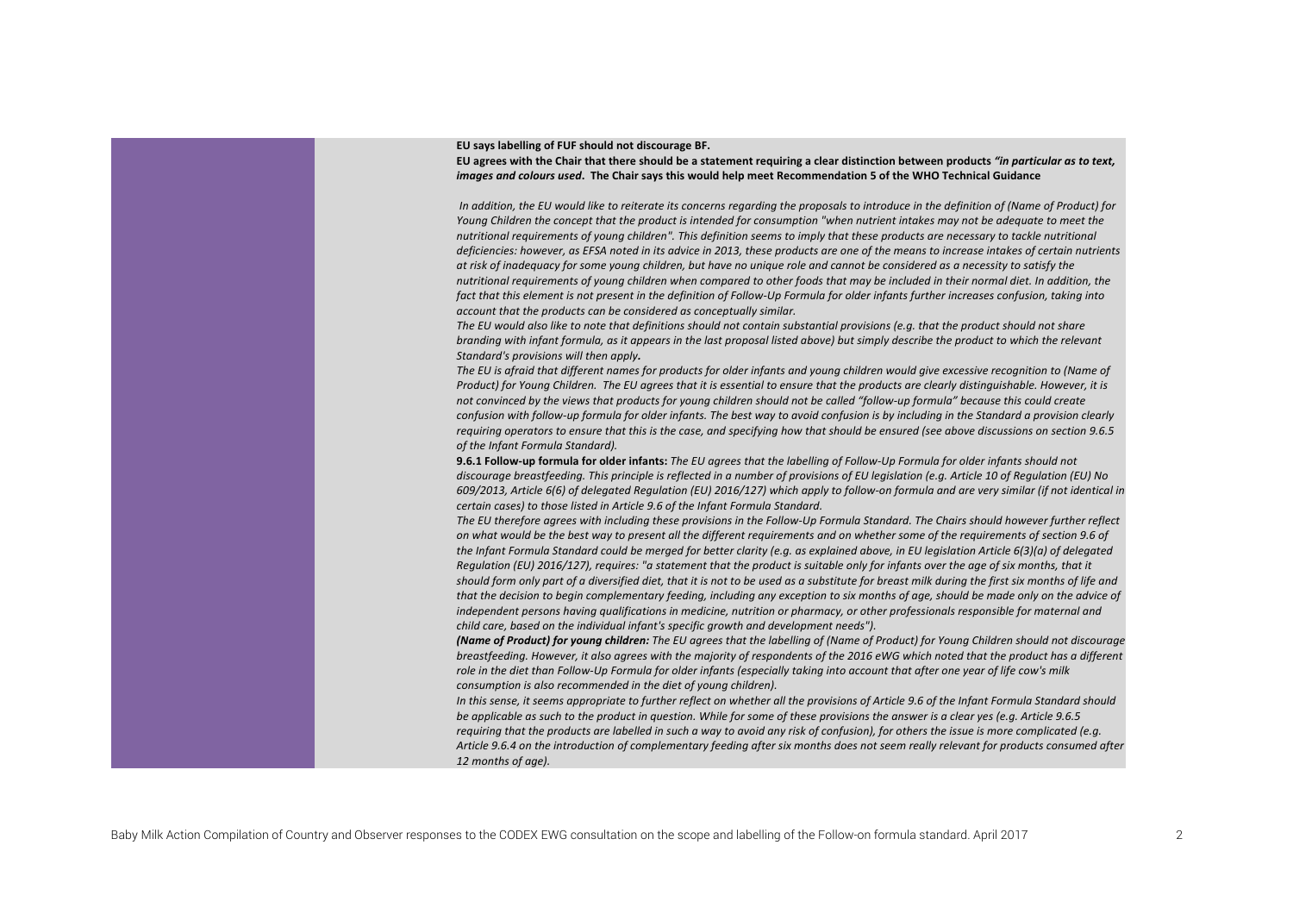EU says labelling of FUF should not discourage BF.

EU agrees with the Chair that there should be a statement requiring a clear distinction between products "in particular as to text, *images and colours used*. The Chair says this would help meet Recommendation 5 of the WHO Technical Guidance

In addition, the EU would like to reiterate its concerns regarding the proposals to introduce in the definition of (Name of Product) for *Young* Children the concept that the product is intended for consumption "when nutrient intakes may not be adequate to meet the nutritional requirements of voung children". This definition seems to imply that these products are necessary to tackle nutritional deficiencies: however, as EFSA noted in its advice in 2013, these products are one of the means to increase intakes of certain nutrients at risk of inadequacy for some young children, but have no unique role and cannot be considered as a necessity to satisfy the *nutritional requirements of young children when compared to other foods that may be included in their normal diet. In addition, the* fact that this element is not present in the definition of Follow-Up Formula for older infants further increases confusion, taking into account that the products can be considered as conceptually similar.

The EU would also like to note that definitions should not contain substantial provisions (e.g. that the product should not share *branding with infant formula, as it appears in the last proposal listed above)* but simply describe the product to which the relevant *Standard's provisions will then apply.* 

The EU is afraid that different names for products for older infants and young children would give excessive recognition to (Name of *Product)* for Young Children. The EU agrees that it is essential to ensure that the products are clearly distinguishable. However, it is not convinced by the views that products for young children should not be called "follow-up formula" because this could create *confusion* with follow-up formula for older infants. The best way to avoid confusion is by including in the Standard a provision clearly requiring operators to ensure that this is the case, and specifying how that should be ensured (see above discussions on section 9.6.5 of the Infant Formula Standard).

**9.6.1 Follow-up formula for older infants:** The EU agrees that the labelling of Follow-Up Formula for older infants should not discourage breastfeeding. This principle is reflected in a number of provisions of EU legislation (e.g. Article 10 of Regulation (EU) No *609/2013, Article* 6(6) of delegated Regulation (EU) 2016/127) which apply to follow-on formula and are very similar (if not identical in *certain cases)* to those listed in Article 9.6 of the Infant Formula Standard.

The EU therefore agrees with including these provisions in the Follow-Up Formula Standard. The Chairs should however further reflect on what would be the best way to present all the different requirements and on whether some of the requirements of section 9.6 of the Infant Formula Standard could be merged for better clarity (e.g. as explained above, in EU legislation Article 6(3)(a) of delegated *Requlation* (EU) 2016/127), requires: "a statement that the product is suitable only for infants over the age of six months, that it should form only part of a diversified diet, that it is not to be used as a substitute for breast milk during the first six months of life and that the decision to begin complementary feeding, including any exception to six months of age, should be made only on the advice of *independent persons having qualifications in medicine, nutrition or pharmacy, or other professionals responsible for maternal and child care, based on the individual infant's specific growth and development needs").* 

**(Name of Product) for young children:** The EU agrees that the labelling of (Name of Product) for Young Children should not discourage *breastfeeding. However, it also agrees with the majority of respondents of the 2016 eWG which noted that the product has a different* role in the diet than Follow-Up Formula for older infants (especially taking into account that after one year of life cow's milk *consumption is also recommended in the diet of young children).* 

In this sense, it seems appropriate to further reflect on whether all the provisions of Article 9.6 of the Infant Formula Standard should *be applicable as such to the product in question. While for some of these provisions the answer is a clear yes (e.g. Article 9.6.5 requiring* that the products are labelled in such a way to avoid any risk of confusion), for others the issue is more complicated (e.g. Article 9.6.4 on the introduction of complementary feeding after six months does not seem really relevant for products consumed after 12 months of age).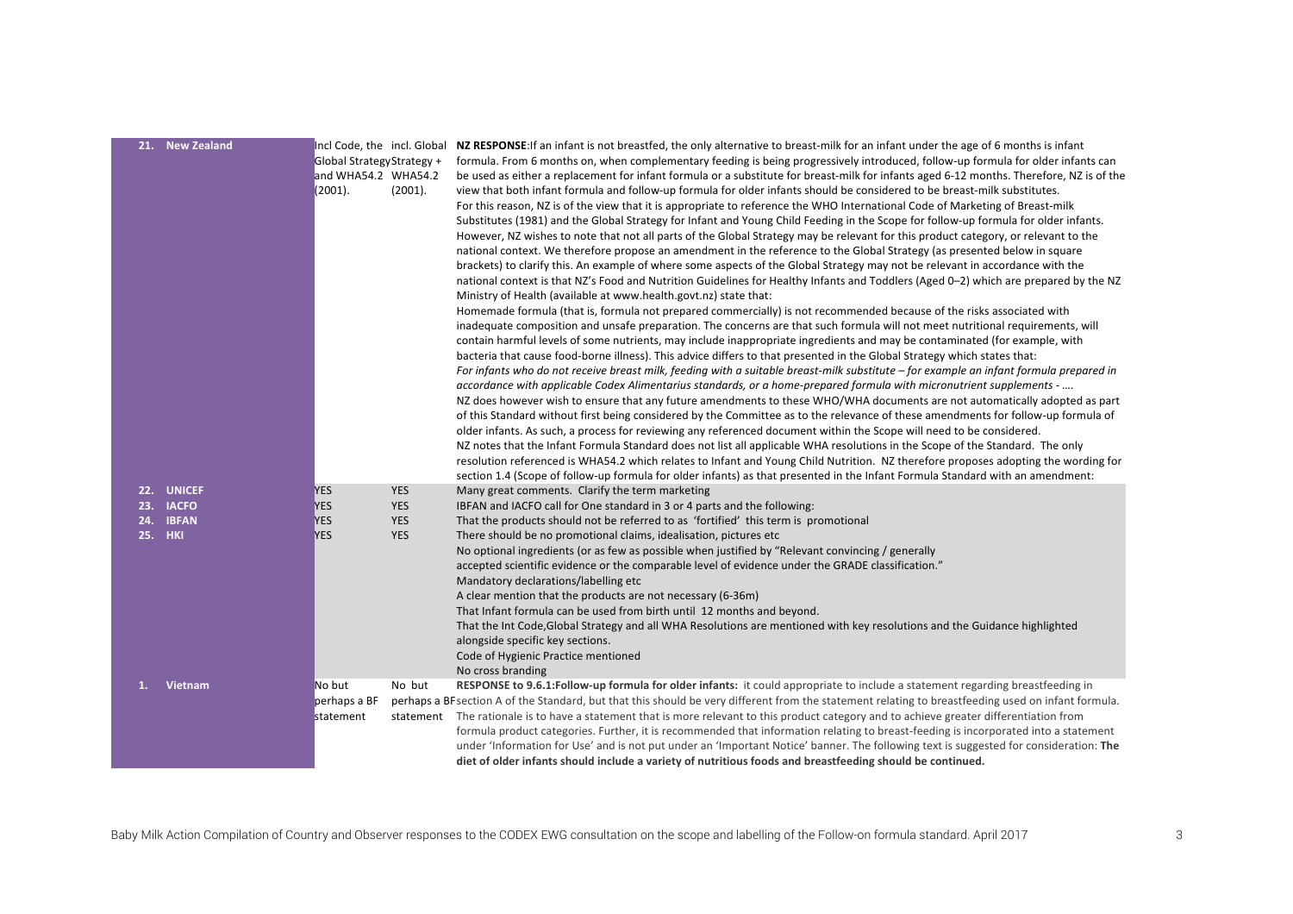|    | 21. New Zealand | Incl Code, the incl. Global<br>Global Strategy Strategy +<br>and WHA54.2 WHA54.2<br>(2001). | (2001).    | NZ RESPONSE: If an infant is not breastfed, the only alternative to breast-milk for an infant under the age of 6 months is infant<br>formula. From 6 months on, when complementary feeding is being progressively introduced, follow-up formula for older infants can<br>be used as either a replacement for infant formula or a substitute for breast-milk for infants aged 6-12 months. Therefore, NZ is of the<br>view that both infant formula and follow-up formula for older infants should be considered to be breast-milk substitutes.<br>For this reason, NZ is of the view that it is appropriate to reference the WHO International Code of Marketing of Breast-milk<br>Substitutes (1981) and the Global Strategy for Infant and Young Child Feeding in the Scope for follow-up formula for older infants.<br>However, NZ wishes to note that not all parts of the Global Strategy may be relevant for this product category, or relevant to the<br>national context. We therefore propose an amendment in the reference to the Global Strategy (as presented below in square<br>brackets) to clarify this. An example of where some aspects of the Global Strategy may not be relevant in accordance with the<br>national context is that NZ's Food and Nutrition Guidelines for Healthy Infants and Toddlers (Aged 0-2) which are prepared by the NZ<br>Ministry of Health (available at www.health.govt.nz) state that:<br>Homemade formula (that is, formula not prepared commercially) is not recommended because of the risks associated with<br>inadequate composition and unsafe preparation. The concerns are that such formula will not meet nutritional requirements, will<br>contain harmful levels of some nutrients, may include inappropriate ingredients and may be contaminated (for example, with<br>bacteria that cause food-borne illness). This advice differs to that presented in the Global Strategy which states that:<br>For infants who do not receive breast milk, feeding with a suitable breast-milk substitute – for example an infant formula prepared in<br>accordance with applicable Codex Alimentarius standards, or a home-prepared formula with micronutrient supplements -<br>NZ does however wish to ensure that any future amendments to these WHO/WHA documents are not automatically adopted as part<br>of this Standard without first being considered by the Committee as to the relevance of these amendments for follow-up formula of<br>older infants. As such, a process for reviewing any referenced document within the Scope will need to be considered.<br>NZ notes that the Infant Formula Standard does not list all applicable WHA resolutions in the Scope of the Standard. The only<br>resolution referenced is WHA54.2 which relates to Infant and Young Child Nutrition. NZ therefore proposes adopting the wording for<br>section 1.4 (Scope of follow-up formula for older infants) as that presented in the Infant Formula Standard with an amendment: |
|----|-----------------|---------------------------------------------------------------------------------------------|------------|-----------------------------------------------------------------------------------------------------------------------------------------------------------------------------------------------------------------------------------------------------------------------------------------------------------------------------------------------------------------------------------------------------------------------------------------------------------------------------------------------------------------------------------------------------------------------------------------------------------------------------------------------------------------------------------------------------------------------------------------------------------------------------------------------------------------------------------------------------------------------------------------------------------------------------------------------------------------------------------------------------------------------------------------------------------------------------------------------------------------------------------------------------------------------------------------------------------------------------------------------------------------------------------------------------------------------------------------------------------------------------------------------------------------------------------------------------------------------------------------------------------------------------------------------------------------------------------------------------------------------------------------------------------------------------------------------------------------------------------------------------------------------------------------------------------------------------------------------------------------------------------------------------------------------------------------------------------------------------------------------------------------------------------------------------------------------------------------------------------------------------------------------------------------------------------------------------------------------------------------------------------------------------------------------------------------------------------------------------------------------------------------------------------------------------------------------------------------------------------------------------------------------------------------------------------------------------------------------------------------------------------------------------------------------------------------------------------------------------------------------------------------------------------------------------------------------------------------------------------------------------------------------------------------------------------------------------------------------------------------------------------------------------------|
|    | 22. UNICEF      | <b>YES</b>                                                                                  | <b>YES</b> | Many great comments. Clarify the term marketing                                                                                                                                                                                                                                                                                                                                                                                                                                                                                                                                                                                                                                                                                                                                                                                                                                                                                                                                                                                                                                                                                                                                                                                                                                                                                                                                                                                                                                                                                                                                                                                                                                                                                                                                                                                                                                                                                                                                                                                                                                                                                                                                                                                                                                                                                                                                                                                                                                                                                                                                                                                                                                                                                                                                                                                                                                                                                                                                                                                   |
|    | 23. IACFO       | <b>YES</b>                                                                                  | <b>YES</b> | IBFAN and IACFO call for One standard in 3 or 4 parts and the following:                                                                                                                                                                                                                                                                                                                                                                                                                                                                                                                                                                                                                                                                                                                                                                                                                                                                                                                                                                                                                                                                                                                                                                                                                                                                                                                                                                                                                                                                                                                                                                                                                                                                                                                                                                                                                                                                                                                                                                                                                                                                                                                                                                                                                                                                                                                                                                                                                                                                                                                                                                                                                                                                                                                                                                                                                                                                                                                                                          |
|    | 24. IBFAN       | <b>YES</b>                                                                                  | <b>YES</b> | That the products should not be referred to as 'fortified' this term is promotional                                                                                                                                                                                                                                                                                                                                                                                                                                                                                                                                                                                                                                                                                                                                                                                                                                                                                                                                                                                                                                                                                                                                                                                                                                                                                                                                                                                                                                                                                                                                                                                                                                                                                                                                                                                                                                                                                                                                                                                                                                                                                                                                                                                                                                                                                                                                                                                                                                                                                                                                                                                                                                                                                                                                                                                                                                                                                                                                               |
|    | <b>25. HKI</b>  | <b>YES</b>                                                                                  | <b>YES</b> | There should be no promotional claims, idealisation, pictures etc<br>No optional ingredients (or as few as possible when justified by "Relevant convincing / generally<br>accepted scientific evidence or the comparable level of evidence under the GRADE classification."<br>Mandatory declarations/labelling etc<br>A clear mention that the products are not necessary (6-36m)<br>That Infant formula can be used from birth until 12 months and beyond.<br>That the Int Code, Global Strategy and all WHA Resolutions are mentioned with key resolutions and the Guidance highlighted<br>alongside specific key sections.<br>Code of Hygienic Practice mentioned<br>No cross branding                                                                                                                                                                                                                                                                                                                                                                                                                                                                                                                                                                                                                                                                                                                                                                                                                                                                                                                                                                                                                                                                                                                                                                                                                                                                                                                                                                                                                                                                                                                                                                                                                                                                                                                                                                                                                                                                                                                                                                                                                                                                                                                                                                                                                                                                                                                                        |
| 1. | Vietnam         | No but<br>perhaps a BF<br>statement                                                         | No but     | RESPONSE to 9.6.1:Follow-up formula for older infants: it could appropriate to include a statement regarding breastfeeding in<br>perhaps a BF section A of the Standard, but that this should be very different from the statement relating to breastfeeding used on infant formula.<br>statement The rationale is to have a statement that is more relevant to this product category and to achieve greater differentiation from<br>formula product categories. Further, it is recommended that information relating to breast-feeding is incorporated into a statement<br>under 'Information for Use' and is not put under an 'Important Notice' banner. The following text is suggested for consideration: The<br>diet of older infants should include a variety of nutritious foods and breastfeeding should be continued.                                                                                                                                                                                                                                                                                                                                                                                                                                                                                                                                                                                                                                                                                                                                                                                                                                                                                                                                                                                                                                                                                                                                                                                                                                                                                                                                                                                                                                                                                                                                                                                                                                                                                                                                                                                                                                                                                                                                                                                                                                                                                                                                                                                                    |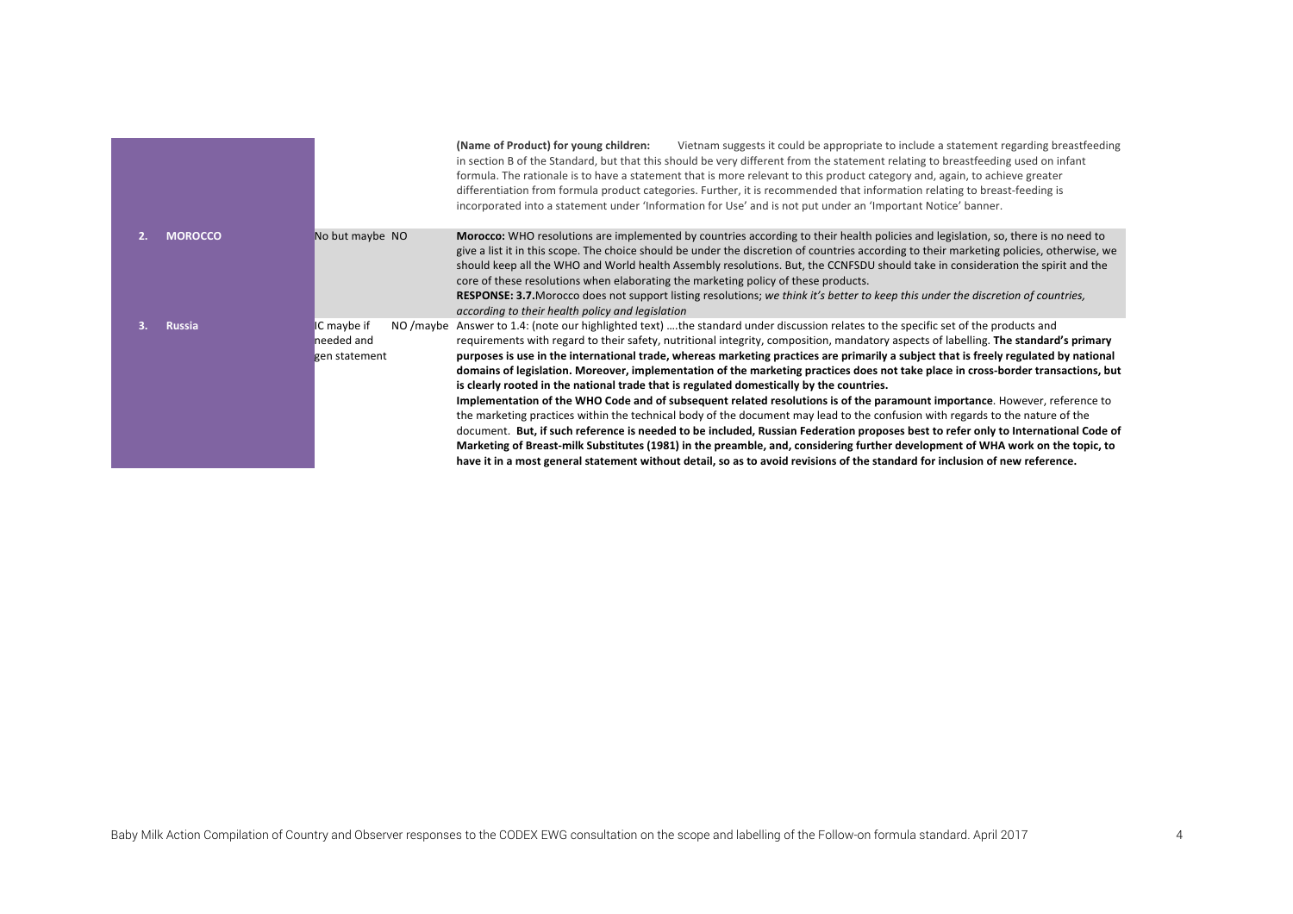|                |                                            | Vietnam suggests it could be appropriate to include a statement regarding breastfeeding<br>(Name of Product) for young children:<br>in section B of the Standard, but that this should be very different from the statement relating to breastfeeding used on infant<br>formula. The rationale is to have a statement that is more relevant to this product category and, again, to achieve greater<br>differentiation from formula product categories. Further, it is recommended that information relating to breast-feeding is<br>incorporated into a statement under 'Information for Use' and is not put under an 'Important Notice' banner.                                                                                                                                                                                                                                                                                                                                                                                                                                                                                                                                                                                                                                                                          |
|----------------|--------------------------------------------|----------------------------------------------------------------------------------------------------------------------------------------------------------------------------------------------------------------------------------------------------------------------------------------------------------------------------------------------------------------------------------------------------------------------------------------------------------------------------------------------------------------------------------------------------------------------------------------------------------------------------------------------------------------------------------------------------------------------------------------------------------------------------------------------------------------------------------------------------------------------------------------------------------------------------------------------------------------------------------------------------------------------------------------------------------------------------------------------------------------------------------------------------------------------------------------------------------------------------------------------------------------------------------------------------------------------------|
| <b>MOROCCO</b> | No but maybe NO                            | Morocco: WHO resolutions are implemented by countries according to their health policies and legislation, so, there is no need to<br>give a list it in this scope. The choice should be under the discretion of countries according to their marketing policies, otherwise, we<br>should keep all the WHO and World health Assembly resolutions. But, the CCNFSDU should take in consideration the spirit and the<br>core of these resolutions when elaborating the marketing policy of these products.<br>RESPONSE: 3.7. Morocco does not support listing resolutions; we think it's better to keep this under the discretion of countries,<br>according to their health policy and legislation                                                                                                                                                                                                                                                                                                                                                                                                                                                                                                                                                                                                                           |
| <b>Russia</b>  | IC maybe if<br>needed and<br>gen statement | NO /maybe Answer to 1.4: (note our highlighted text) the standard under discussion relates to the specific set of the products and<br>requirements with regard to their safety, nutritional integrity, composition, mandatory aspects of labelling. The standard's primary<br>purposes is use in the international trade, whereas marketing practices are primarily a subject that is freely regulated by national<br>domains of legislation. Moreover, implementation of the marketing practices does not take place in cross-border transactions, but<br>is clearly rooted in the national trade that is regulated domestically by the countries.<br>Implementation of the WHO Code and of subsequent related resolutions is of the paramount importance. However, reference to<br>the marketing practices within the technical body of the document may lead to the confusion with regards to the nature of the<br>document. But, if such reference is needed to be included, Russian Federation proposes best to refer only to International Code of<br>Marketing of Breast-milk Substitutes (1981) in the preamble, and, considering further development of WHA work on the topic, to<br>have it in a most general statement without detail, so as to avoid revisions of the standard for inclusion of new reference. |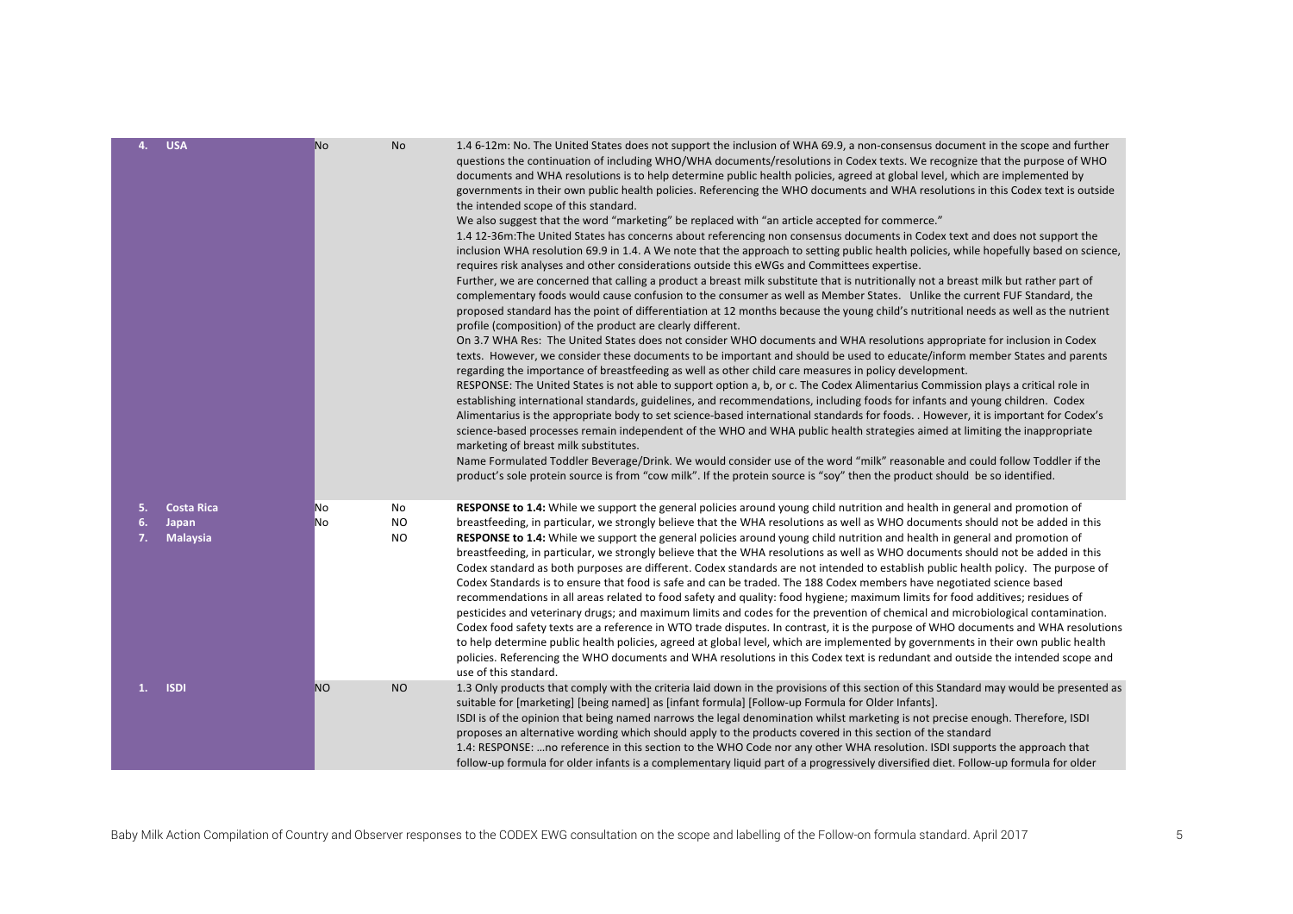| 4.       | <b>USA</b>               | <b>No</b> | No                     | 1.4 6-12m: No. The United States does not support the inclusion of WHA 69.9, a non-consensus document in the scope and further<br>questions the continuation of including WHO/WHA documents/resolutions in Codex texts. We recognize that the purpose of WHO<br>documents and WHA resolutions is to help determine public health policies, agreed at global level, which are implemented by<br>governments in their own public health policies. Referencing the WHO documents and WHA resolutions in this Codex text is outside<br>the intended scope of this standard.<br>We also suggest that the word "marketing" be replaced with "an article accepted for commerce."<br>1.4 12-36m: The United States has concerns about referencing non consensus documents in Codex text and does not support the<br>inclusion WHA resolution 69.9 in 1.4. A We note that the approach to setting public health policies, while hopefully based on science,<br>requires risk analyses and other considerations outside this eWGs and Committees expertise.<br>Further, we are concerned that calling a product a breast milk substitute that is nutritionally not a breast milk but rather part of<br>complementary foods would cause confusion to the consumer as well as Member States. Unlike the current FUF Standard, the<br>proposed standard has the point of differentiation at 12 months because the young child's nutritional needs as well as the nutrient<br>profile (composition) of the product are clearly different.<br>On 3.7 WHA Res: The United States does not consider WHO documents and WHA resolutions appropriate for inclusion in Codex<br>texts. However, we consider these documents to be important and should be used to educate/inform member States and parents<br>regarding the importance of breastfeeding as well as other child care measures in policy development.<br>RESPONSE: The United States is not able to support option a, b, or c. The Codex Alimentarius Commission plays a critical role in<br>establishing international standards, guidelines, and recommendations, including foods for infants and young children. Codex<br>Alimentarius is the appropriate body to set science-based international standards for foods. . However, it is important for Codex's<br>science-based processes remain independent of the WHO and WHA public health strategies aimed at limiting the inappropriate<br>marketing of breast milk substitutes.<br>Name Formulated Toddler Beverage/Drink. We would consider use of the word "milk" reasonable and could follow Toddler if the<br>product's sole protein source is from "cow milk". If the protein source is "soy" then the product should be so identified. |
|----------|--------------------------|-----------|------------------------|-----------------------------------------------------------------------------------------------------------------------------------------------------------------------------------------------------------------------------------------------------------------------------------------------------------------------------------------------------------------------------------------------------------------------------------------------------------------------------------------------------------------------------------------------------------------------------------------------------------------------------------------------------------------------------------------------------------------------------------------------------------------------------------------------------------------------------------------------------------------------------------------------------------------------------------------------------------------------------------------------------------------------------------------------------------------------------------------------------------------------------------------------------------------------------------------------------------------------------------------------------------------------------------------------------------------------------------------------------------------------------------------------------------------------------------------------------------------------------------------------------------------------------------------------------------------------------------------------------------------------------------------------------------------------------------------------------------------------------------------------------------------------------------------------------------------------------------------------------------------------------------------------------------------------------------------------------------------------------------------------------------------------------------------------------------------------------------------------------------------------------------------------------------------------------------------------------------------------------------------------------------------------------------------------------------------------------------------------------------------------------------------------------------------------------------------------------------------------------------------------------------------------------------------------------------------------------------------------------------------------------------------------------------------------------------------------------------------------------------------------|
| 5.       | <b>Costa Rica</b>        | No        | No                     | RESPONSE to 1.4: While we support the general policies around young child nutrition and health in general and promotion of                                                                                                                                                                                                                                                                                                                                                                                                                                                                                                                                                                                                                                                                                                                                                                                                                                                                                                                                                                                                                                                                                                                                                                                                                                                                                                                                                                                                                                                                                                                                                                                                                                                                                                                                                                                                                                                                                                                                                                                                                                                                                                                                                                                                                                                                                                                                                                                                                                                                                                                                                                                                                    |
| 6.<br>7. | Japan<br><b>Malaysia</b> | No        | <b>NO</b><br><b>NO</b> | breastfeeding, in particular, we strongly believe that the WHA resolutions as well as WHO documents should not be added in this<br>RESPONSE to 1.4: While we support the general policies around young child nutrition and health in general and promotion of<br>breastfeeding, in particular, we strongly believe that the WHA resolutions as well as WHO documents should not be added in this<br>Codex standard as both purposes are different. Codex standards are not intended to establish public health policy. The purpose of<br>Codex Standards is to ensure that food is safe and can be traded. The 188 Codex members have negotiated science based<br>recommendations in all areas related to food safety and quality: food hygiene; maximum limits for food additives; residues of<br>pesticides and veterinary drugs; and maximum limits and codes for the prevention of chemical and microbiological contamination.<br>Codex food safety texts are a reference in WTO trade disputes. In contrast, it is the purpose of WHO documents and WHA resolutions<br>to help determine public health policies, agreed at global level, which are implemented by governments in their own public health<br>policies. Referencing the WHO documents and WHA resolutions in this Codex text is redundant and outside the intended scope and<br>use of this standard.                                                                                                                                                                                                                                                                                                                                                                                                                                                                                                                                                                                                                                                                                                                                                                                                                                                                                                                                                                                                                                                                                                                                                                                                                                                                                                                                                                      |
| 1.       | <b>ISDI</b>              | <b>NO</b> | <b>NO</b>              | 1.3 Only products that comply with the criteria laid down in the provisions of this section of this Standard may would be presented as<br>suitable for [marketing] [being named] as [infant formula] [Follow-up Formula for Older Infants].<br>ISDI is of the opinion that being named narrows the legal denomination whilst marketing is not precise enough. Therefore, ISDI<br>proposes an alternative wording which should apply to the products covered in this section of the standard<br>1.4: RESPONSE:  no reference in this section to the WHO Code nor any other WHA resolution. ISDI supports the approach that<br>follow-up formula for older infants is a complementary liquid part of a progressively diversified diet. Follow-up formula for older                                                                                                                                                                                                                                                                                                                                                                                                                                                                                                                                                                                                                                                                                                                                                                                                                                                                                                                                                                                                                                                                                                                                                                                                                                                                                                                                                                                                                                                                                                                                                                                                                                                                                                                                                                                                                                                                                                                                                                              |